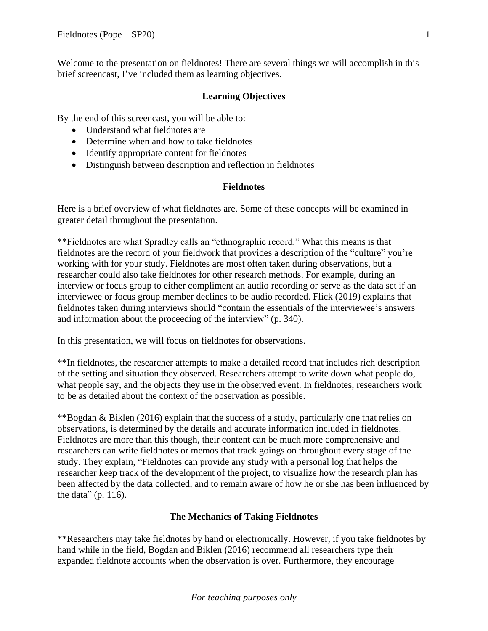Welcome to the presentation on fieldnotes! There are several things we will accomplish in this brief screencast, I've included them as learning objectives.

# **Learning Objectives**

By the end of this screencast, you will be able to:

- Understand what fieldnotes are
- Determine when and how to take fieldnotes
- Identify appropriate content for fieldnotes
- Distinguish between description and reflection in fieldnotes

#### **Fieldnotes**

Here is a brief overview of what fieldnotes are. Some of these concepts will be examined in greater detail throughout the presentation.

\*\*Fieldnotes are what Spradley calls an "ethnographic record." What this means is that fieldnotes are the record of your fieldwork that provides a description of the "culture" you're working with for your study. Fieldnotes are most often taken during observations, but a researcher could also take fieldnotes for other research methods. For example, during an interview or focus group to either compliment an audio recording or serve as the data set if an interviewee or focus group member declines to be audio recorded. Flick (2019) explains that fieldnotes taken during interviews should "contain the essentials of the interviewee's answers and information about the proceeding of the interview" (p. 340).

In this presentation, we will focus on fieldnotes for observations.

\*\*In fieldnotes, the researcher attempts to make a detailed record that includes rich description of the setting and situation they observed. Researchers attempt to write down what people do, what people say, and the objects they use in the observed event. In fieldnotes, researchers work to be as detailed about the context of the observation as possible.

\*\*Bogdan & Biklen (2016) explain that the success of a study, particularly one that relies on observations, is determined by the details and accurate information included in fieldnotes. Fieldnotes are more than this though, their content can be much more comprehensive and researchers can write fieldnotes or memos that track goings on throughout every stage of the study. They explain, "Fieldnotes can provide any study with a personal log that helps the researcher keep track of the development of the project, to visualize how the research plan has been affected by the data collected, and to remain aware of how he or she has been influenced by the data" (p. 116).

## **The Mechanics of Taking Fieldnotes**

\*\*Researchers may take fieldnotes by hand or electronically. However, if you take fieldnotes by hand while in the field, Bogdan and Biklen (2016) recommend all researchers type their expanded fieldnote accounts when the observation is over. Furthermore, they encourage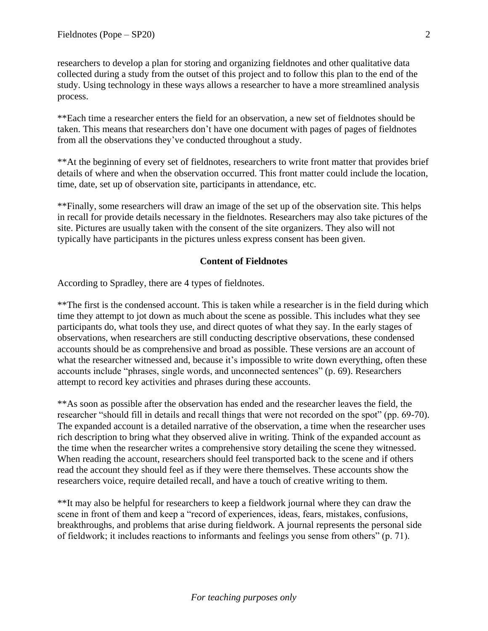researchers to develop a plan for storing and organizing fieldnotes and other qualitative data collected during a study from the outset of this project and to follow this plan to the end of the study. Using technology in these ways allows a researcher to have a more streamlined analysis process.

\*\*Each time a researcher enters the field for an observation, a new set of fieldnotes should be taken. This means that researchers don't have one document with pages of pages of fieldnotes from all the observations they've conducted throughout a study.

\*\*At the beginning of every set of fieldnotes, researchers to write front matter that provides brief details of where and when the observation occurred. This front matter could include the location, time, date, set up of observation site, participants in attendance, etc.

\*\*Finally, some researchers will draw an image of the set up of the observation site. This helps in recall for provide details necessary in the fieldnotes. Researchers may also take pictures of the site. Pictures are usually taken with the consent of the site organizers. They also will not typically have participants in the pictures unless express consent has been given.

#### **Content of Fieldnotes**

According to Spradley, there are 4 types of fieldnotes.

\*\*The first is the condensed account. This is taken while a researcher is in the field during which time they attempt to jot down as much about the scene as possible. This includes what they see participants do, what tools they use, and direct quotes of what they say. In the early stages of observations, when researchers are still conducting descriptive observations, these condensed accounts should be as comprehensive and broad as possible. These versions are an account of what the researcher witnessed and, because it's impossible to write down everything, often these accounts include "phrases, single words, and unconnected sentences" (p. 69). Researchers attempt to record key activities and phrases during these accounts.

\*\*As soon as possible after the observation has ended and the researcher leaves the field, the researcher "should fill in details and recall things that were not recorded on the spot" (pp. 69-70). The expanded account is a detailed narrative of the observation, a time when the researcher uses rich description to bring what they observed alive in writing. Think of the expanded account as the time when the researcher writes a comprehensive story detailing the scene they witnessed. When reading the account, researchers should feel transported back to the scene and if others read the account they should feel as if they were there themselves. These accounts show the researchers voice, require detailed recall, and have a touch of creative writing to them.

\*\*It may also be helpful for researchers to keep a fieldwork journal where they can draw the scene in front of them and keep a "record of experiences, ideas, fears, mistakes, confusions, breakthroughs, and problems that arise during fieldwork. A journal represents the personal side of fieldwork; it includes reactions to informants and feelings you sense from others" (p. 71).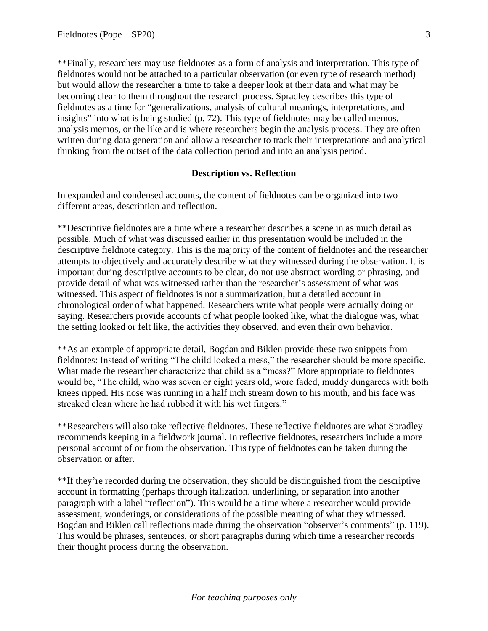\*\*Finally, researchers may use fieldnotes as a form of analysis and interpretation. This type of fieldnotes would not be attached to a particular observation (or even type of research method) but would allow the researcher a time to take a deeper look at their data and what may be becoming clear to them throughout the research process. Spradley describes this type of fieldnotes as a time for "generalizations, analysis of cultural meanings, interpretations, and insights" into what is being studied (p. 72). This type of fieldnotes may be called memos, analysis memos, or the like and is where researchers begin the analysis process. They are often written during data generation and allow a researcher to track their interpretations and analytical thinking from the outset of the data collection period and into an analysis period.

#### **Description vs. Reflection**

In expanded and condensed accounts, the content of fieldnotes can be organized into two different areas, description and reflection.

\*\*Descriptive fieldnotes are a time where a researcher describes a scene in as much detail as possible. Much of what was discussed earlier in this presentation would be included in the descriptive fieldnote category. This is the majority of the content of fieldnotes and the researcher attempts to objectively and accurately describe what they witnessed during the observation. It is important during descriptive accounts to be clear, do not use abstract wording or phrasing, and provide detail of what was witnessed rather than the researcher's assessment of what was witnessed. This aspect of fieldnotes is not a summarization, but a detailed account in chronological order of what happened. Researchers write what people were actually doing or saying. Researchers provide accounts of what people looked like, what the dialogue was, what the setting looked or felt like, the activities they observed, and even their own behavior.

\*\*As an example of appropriate detail, Bogdan and Biklen provide these two snippets from fieldnotes: Instead of writing "The child looked a mess," the researcher should be more specific. What made the researcher characterize that child as a "mess?" More appropriate to fieldnotes would be, "The child, who was seven or eight years old, wore faded, muddy dungarees with both knees ripped. His nose was running in a half inch stream down to his mouth, and his face was streaked clean where he had rubbed it with his wet fingers."

\*\*Researchers will also take reflective fieldnotes. These reflective fieldnotes are what Spradley recommends keeping in a fieldwork journal. In reflective fieldnotes, researchers include a more personal account of or from the observation. This type of fieldnotes can be taken during the observation or after.

\*\*If they're recorded during the observation, they should be distinguished from the descriptive account in formatting (perhaps through italization, underlining, or separation into another paragraph with a label "reflection"). This would be a time where a researcher would provide assessment, wonderings, or considerations of the possible meaning of what they witnessed. Bogdan and Biklen call reflections made during the observation "observer's comments" (p. 119). This would be phrases, sentences, or short paragraphs during which time a researcher records their thought process during the observation.